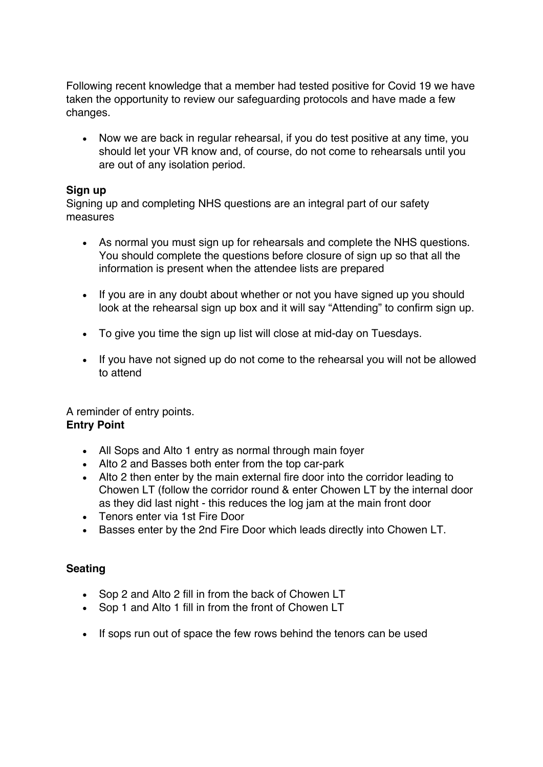Following recent knowledge that a member had tested positive for Covid 19 we have taken the opportunity to review our safeguarding protocols and have made a few changes.

• Now we are back in regular rehearsal, if you do test positive at any time, you should let your VR know and, of course, do not come to rehearsals until you are out of any isolation period.

## **Sign up**

Signing up and completing NHS questions are an integral part of our safety measures

- As normal you must sign up for rehearsals and complete the NHS questions. You should complete the questions before closure of sign up so that all the information is present when the attendee lists are prepared
- If you are in any doubt about whether or not you have signed up you should look at the rehearsal sign up box and it will say "Attending" to confirm sign up.
- To give you time the sign up list will close at mid-day on Tuesdays.
- If you have not signed up do not come to the rehearsal you will not be allowed to attend

A reminder of entry points. **Entry Point**

- All Sops and Alto 1 entry as normal through main foyer
- Alto 2 and Basses both enter from the top car-park
- Alto 2 then enter by the main external fire door into the corridor leading to Chowen LT (follow the corridor round & enter Chowen LT by the internal door as they did last night - this reduces the log jam at the main front door
- Tenors enter via 1st Fire Door
- Basses enter by the 2nd Fire Door which leads directly into Chowen LT.

## **Seating**

- Sop 2 and Alto 2 fill in from the back of Chowen LT
- Sop 1 and Alto 1 fill in from the front of Chowen LT
- If sops run out of space the few rows behind the tenors can be used